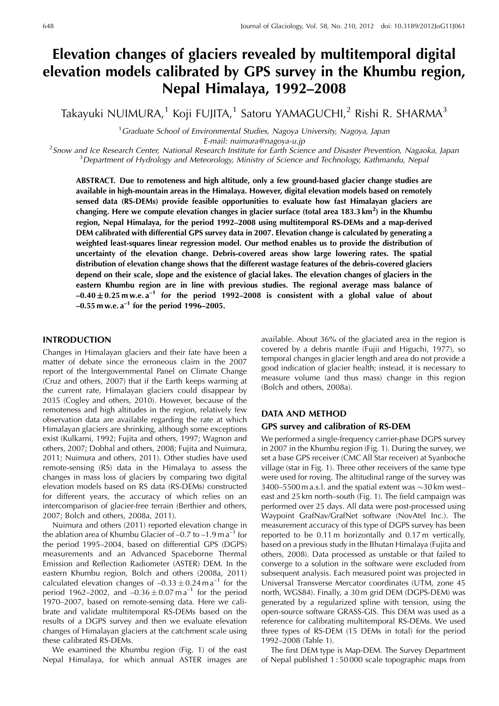# **Elevation changes of glaciers revealed by multitemporal digital elevation models calibrated by GPS survey in the Khumbu region, Nepal Himalaya, 1992–2008**

Takayuki NUIMURA,<sup>1</sup> Koji FUJITA,<sup>1</sup> Satoru YAMAGUCHI,<sup>2</sup> Rishi R. SHARMA<sup>3</sup>

<sup>1</sup> Graduate School of Environmental Studies, Nagoya University, Nagoya, Japan

E-mail: nuimura@nagoya-u.jp<br><sup>2</sup>Snow and Ice Research Center, National Research Institute for Earth Scie Snow and Ice Research Center, National Research Institute for Earth Science and Disaster Prevention, Nagaoka, Japan <sup>3</sup>  $3$ Department of Hydrology and Meteorology, Ministry of Science and Technology, Kathmandu, Nepal

**ABSTRACT. Due to remoteness and high altitude, only a few ground-based glacier change studies are available in high-mountain areas in the Himalaya. However, digital elevation models based on remotely sensed data (RS-DEMs) provide feasible opportunities to evaluate how fast Himalayan glaciers are changing. Here we compute elevation changes in glacier surface (total area 183.3 km<sup>2</sup> ) in the Khumbu region, Nepal Himalaya, for the period 1992–2008 using multitemporal RS-DEMs and a map-derived DEM calibrated with differential GPS survey data in 2007. Elevation change is calculated by generating a weighted least-squares linear regression model. Our method enables us to provide the distribution of uncertainty of the elevation change. Debris-covered areas show large lowering rates. The spatial distribution of elevation change shows that the different wastage features of the debris-covered glaciers depend on their scale, slope and the existence of glacial lakes. The elevation changes of glaciers in the eastern Khumbu region are in line with previous studies. The regional average mass balance of**  $-0.40 \pm 0.25$  m w.e. a<sup>-1</sup> for the period 1992–2008 is consistent with a global value of about **–0.55 m w.e. a–1 for the period 1996–2005.**

## **INTRODUCTION**

Changes in Himalayan glaciers and their fate have been a matter of debate since the erroneous claim in the 2007 report of the Intergovernmental Panel on Climate Change (Cruz and others, 2007) that if the Earth keeps warming at the current rate, Himalayan glaciers could disappear by 2035 (Cogley and others, 2010). However, because of the remoteness and high altitudes in the region, relatively few observation data are available regarding the rate at which Himalayan glaciers are shrinking, although some exceptions exist (Kulkarni, 1992; Fujita and others, 1997; Wagnon and others, 2007; Dobhal and others, 2008; Fujita and Nuimura, 2011; Nuimura and others, 2011). Other studies have used remote-sensing (RS) data in the Himalaya to assess the changes in mass loss of glaciers by comparing two digital elevation models based on RS data (RS-DEMs) constructed for different years, the accuracy of which relies on an intercomparison of glacier-free terrain (Berthier and others, 2007; Bolch and others, 2008a, 2011).

Nuimura and others (2011) reported elevation change in the ablation area of Khumbu Glacier of  $-0.7$  to  $-1.9$  m a<sup>-1</sup> for the period 1995–2004, based on differential GPS (DGPS) measurements and an Advanced Spaceborne Thermal Emission and Reflection Radiometer (ASTER) DEM. In the eastern Khumbu region, Bolch and others (2008a, 2011) calculated elevation changes of  $-0.33 \pm 0.24$  m a<sup>-1</sup> for the period 1962–2002, and  $-0.36 \pm 0.07$  m a<sup>-1</sup> for the period 1970–2007, based on remote-sensing data. Here we calibrate and validate multitemporal RS-DEMs based on the results of a DGPS survey and then we evaluate elevation changes of Himalayan glaciers at the catchment scale using these calibrated RS-DEMs.

We examined the Khumbu region (Fig. 1) of the east Nepal Himalaya, for which annual ASTER images are available. About 36% of the glaciated area in the region is covered by a debris mantle (Fujii and Higuchi, 1977), so temporal changes in glacier length and area do not provide a good indication of glacier health; instead, it is necessary to measure volume (and thus mass) change in this region (Bolch and others, 2008a).

### **DATA AND METHOD**

## **GPS survey and calibration of RS-DEM**

We performed a single-frequency carrier-phase DGPS survey in 2007 in the Khumbu region (Fig. 1). During the survey, we set a base GPS receiver (CMC All Star receiver) at Syanboche village (star in Fig. 1). Three other receivers of the same type were used for roving. The altitudinal range of the survey was 3400–5500 m a.s.l. and the spatial extent was  $\sim$ 30 km west– east and 25 km north–south (Fig. 1). The field campaign was performed over 25 days. All data were post-processed using Waypoint GrafNav/GrafNet software (NovAtel Inc.). The measurement accuracy of this type of DGPS survey has been reported to be 0.11 m horizontally and 0.17 m vertically, based on a previous study in the Bhutan Himalaya (Fujita and others, 2008). Data processed as unstable or that failed to converge to a solution in the software were excluded from subsequent analysis. Each measured point was projected in Universal Transverse Mercator coordinates (UTM, zone 45 north, WGS84). Finally, a 30 m grid DEM (DGPS-DEM) was generated by a regularized spline with tension, using the open-source software GRASS-GIS. This DEM was used as a reference for calibrating multitemporal RS-DEMs. We used three types of RS-DEM (15 DEMs in total) for the period 1992–2008 (Table 1).

The first DEM type is Map-DEM. The Survey Department of Nepal published 1 : 50 000 scale topographic maps from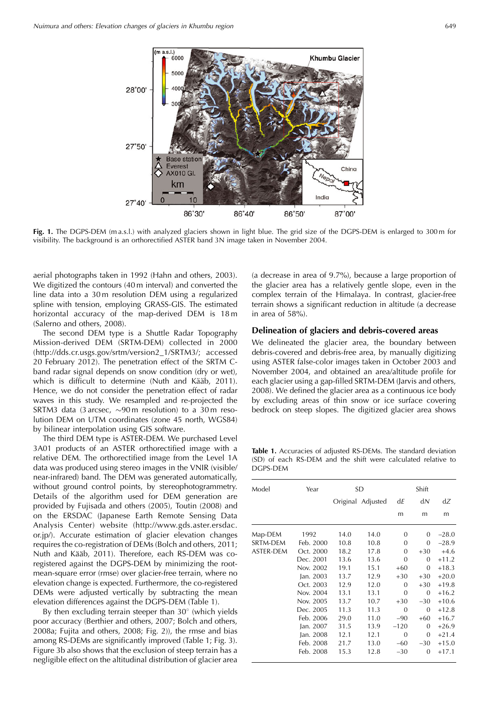

Fig. 1. The DGPS-DEM (ma.s.l.) with analyzed glaciers shown in light blue. The grid size of the DGPS-DEM is enlarged to 300 m for visibility. The background is an orthorectified ASTER band 3N image taken in November 2004.

aerial photographs taken in 1992 (Hahn and others, 2003). We digitized the contours (40 m interval) and converted the line data into a 30 m resolution DEM using a regularized spline with tension, employing GRASS-GIS. The estimated horizontal accuracy of the map-derived DEM is 18 m (Salerno and others, 2008).

The second DEM type is a Shuttle Radar Topography Mission-derived DEM (SRTM-DEM) collected in 2000 (http://dds.cr.usgs.gov/srtm/version2\_1/SRTM3/; accessed 20 February 2012). The penetration effect of the SRTM Cband radar signal depends on snow condition (dry or wet), which is difficult to determine (Nuth and Kääb, 2011). Hence, we do not consider the penetration effect of radar waves in this study. We resampled and re-projected the SRTM3 data (3 arcsec,  $\sim$ 90 m resolution) to a 30 m resolution DEM on UTM coordinates (zone 45 north, WGS84) by bilinear interpolation using GIS software.

The third DEM type is ASTER-DEM. We purchased Level 3A01 products of an ASTER orthorectified image with a relative DEM. The orthorectified image from the Level 1A data was produced using stereo images in the VNIR (visible/ near-infrared) band. The DEM was generated automatically, without ground control points, by stereophotogrammetry. Details of the algorithm used for DEM generation are provided by Fujisada and others (2005), Toutin (2008) and on the ERSDAC (Japanese Earth Remote Sensing Data Analysis Center) website (http://www.gds.aster.ersdac. or.jp/). Accurate estimation of glacier elevation changes requires the co-registration of DEMs (Bolch and others, 2011; Nuth and Kääb, 2011). Therefore, each RS-DEM was coregistered against the DGPS-DEM by minimizing the rootmean-square error (rmse) over glacier-free terrain, where no elevation change is expected. Furthermore, the co-registered DEMs were adjusted vertically by subtracting the mean elevation differences against the DGPS-DEM (Table 1).

By then excluding terrain steeper than  $30^{\circ}$  (which yields poor accuracy (Berthier and others, 2007; Bolch and others, 2008a; Fujita and others, 2008; Fig. 2)), the rmse and bias among RS-DEMs are significantly improved (Table 1; Fig. 3). Figure 3b also shows that the exclusion of steep terrain has a negligible effect on the altitudinal distribution of glacier area

(a decrease in area of 9.7%), because a large proportion of the glacier area has a relatively gentle slope, even in the complex terrain of the Himalaya. In contrast, glacier-free terrain shows a significant reduction in altitude (a decrease in area of 58%).

## **Delineation of glaciers and debris-covered areas**

We delineated the glacier area, the boundary between debris-covered and debris-free area, by manually digitizing using ASTER false-color images taken in October 2003 and November 2004, and obtained an area/altitude profile for each glacier using a gap-filled SRTM-DEM (Jarvis and others, 2008). We defined the glacier area as a continuous ice body by excluding areas of thin snow or ice surface covering bedrock on steep slopes. The digitized glacier area shows

**Table 1.** Accuracies of adjusted RS-DEMs. The standard deviation (SD) of each RS-DEM and the shift were calculated relative to DGPS-DEM

| Model            | Year      | <b>SD</b> |                   | Shift            |                |         |
|------------------|-----------|-----------|-------------------|------------------|----------------|---------|
|                  |           |           | Original Adjusted | dE               | dN             | dZ      |
|                  |           |           |                   | m                | m              | m       |
| Map-DEM          | 1992      | 14.0      | 14.0              | $\overline{0}$   | $\mathbf{0}$   | $-28.0$ |
| <b>SRTM-DEM</b>  | Feb. 2000 | 10.8      | 10.8              | $\overline{0}$   | $\overline{0}$ | $-28.9$ |
| <b>ASTER-DEM</b> | Oct. 2000 | 18.2      | 17.8              | $\boldsymbol{0}$ | $+30$          | $+4.6$  |
|                  | Dec. 2001 | 13.6      | 13.6              | $\overline{0}$   | $\Omega$       | $+11.2$ |
|                  | Nov. 2002 | 19.1      | 15.1              | $+60$            | 0              | $+18.3$ |
|                  | Jan. 2003 | 13.7      | 12.9              | $+30$            | $+30$          | $+20.0$ |
|                  | Oct. 2003 | 12.9      | 12.0              | $\Omega$         | $+30$          | $+19.8$ |
|                  | Nov. 2004 | 13.1      | 13.1              | $\Omega$         | $\Omega$       | $+16.2$ |
|                  | Nov. 2005 | 13.7      | 10.7              | $+30$            | $-30$          | $+10.6$ |
|                  | Dec. 2005 | 11.3      | 11.3              | $\theta$         | $\Omega$       | $+12.8$ |
|                  | Feb. 2006 | 29.0      | 11.0              | $-90$            | $+60$          | $+16.7$ |
|                  | Jan. 2007 | 31.5      | 13.9              | $-120$           | $\Omega$       | $+26.9$ |
|                  | Jan. 2008 | 12.1      | 12.1              | $\overline{0}$   | 0              | $+21.4$ |
|                  | Feb. 2008 | 21.7      | 13.0              | $-60$            | $-30$          | $+15.0$ |
|                  | Feb. 2008 | 15.3      | 12.8              | $-30$            | 0              | $+17.1$ |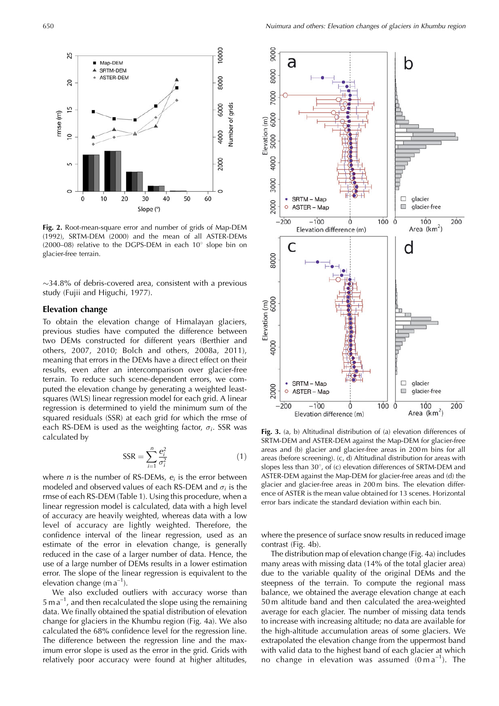

**Fig. 2.** Root-mean-square error and number of grids of Map-DEM (1992), SRTM-DEM (2000) and the mean of all ASTER-DEMs (2000–08) relative to the DGPS-DEM in each  $10^{\circ}$  slope bin on glacier-free terrain.

 $\sim$ 34.8% of debris-covered area, consistent with a previous study (Fujii and Higuchi, 1977).

#### **Elevation change**

To obtain the elevation change of Himalayan glaciers, previous studies have computed the difference between two DEMs constructed for different years (Berthier and others, 2007, 2010; Bolch and others, 2008a, 2011), meaning that errors in the DEMs have a direct effect on their results, even after an intercomparison over glacier-free terrain. To reduce such scene-dependent errors, we computed the elevation change by generating a weighted leastsquares (WLS) linear regression model for each grid. A linear regression is determined to yield the minimum sum of the squared residuals (SSR) at each grid for which the rmse of each RS-DEM is used as the weighting factor,  $\sigma_i$ . SSR was calculated by

$$
SSR = \sum_{i=1}^{n} \frac{e_i^2}{\sigma_i^2}
$$
 (1)

where *n* is the number of RS-DEMs,  $e_i$  is the error between modeled and observed values of each RS-DEM and  $\sigma_i$  is the rmse of each RS-DEM (Table 1). Using this procedure, when a linear regression model is calculated, data with a high level of accuracy are heavily weighted, whereas data with a low level of accuracy are lightly weighted. Therefore, the confidence interval of the linear regression, used as an estimate of the error in elevation change, is generally reduced in the case of a larger number of data. Hence, the use of a large number of DEMs results in a lower estimation error. The slope of the linear regression is equivalent to the elevation change (m  $a^{-1}$ ).

We also excluded outliers with accuracy worse than  $5 \text{ m a}^{-1}$ , and then recalculated the slope using the remaining data. We finally obtained the spatial distribution of elevation change for glaciers in the Khumbu region (Fig. 4a). We also calculated the 68% confidence level for the regression line. The difference between the regression line and the maximum error slope is used as the error in the grid. Grids with relatively poor accuracy were found at higher altitudes,



**Fig. 3.** (a, b) Altitudinal distribution of (a) elevation differences of SRTM-DEM and ASTER-DEM against the Map-DEM for glacier-free areas and (b) glacier and glacier-free areas in 200 m bins for all areas (before screening). (c, d) Altitudinal distribution for areas with slopes less than  $30^{\circ}$ , of (c) elevation differences of SRTM-DEM and ASTER-DEM against the Map-DEM for glacier-free areas and (d) the glacier and glacier-free areas in 200 m bins. The elevation difference of ASTER is the mean value obtained for 13 scenes. Horizontal error bars indicate the standard deviation within each bin.

where the presence of surface snow results in reduced image contrast (Fig. 4b).

The distribution map of elevation change (Fig. 4a) includes many areas with missing data (14% of the total glacier area) due to the variable quality of the original DEMs and the steepness of the terrain. To compute the regional mass balance, we obtained the average elevation change at each 50 m altitude band and then calculated the area-weighted average for each glacier. The number of missing data tends to increase with increasing altitude; no data are available for the high-altitude accumulation areas of some glaciers. We extrapolated the elevation change from the uppermost band with valid data to the highest band of each glacier at which no change in elevation was assumed  $(0 \text{ m a}^{-1})$ . The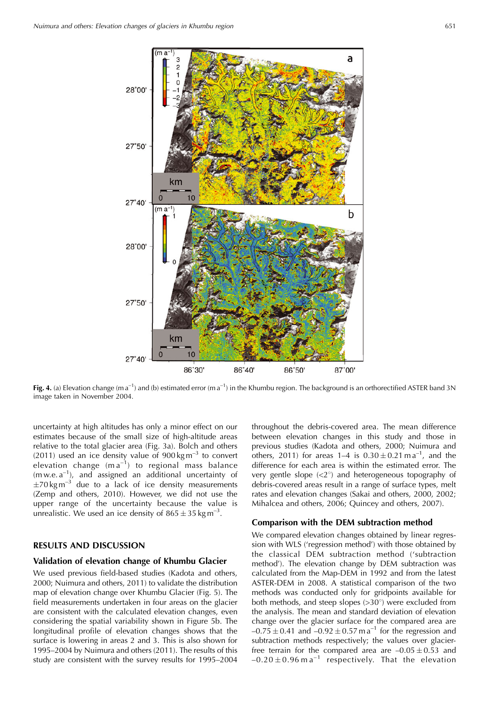

**Fig. 4.** (a) Elevation change (m  $a^{-1}$ ) and (b) estimated error (m  $a^{-1}$ ) in the Khumbu region. The background is an orthorectified ASTER band 3N image taken in November 2004.

uncertainty at high altitudes has only a minor effect on our estimates because of the small size of high-altitude areas relative to the total glacier area (Fig. 3a). Bolch and others (2011) used an ice density value of  $900 \text{ kg m}^{-3}$  to convert elevation change  $(m a^{-1})$  to regional mass balance  $(m w.e. a<sup>-1</sup>)$ , and assigned an additional uncertainty of  $\pm$ 70 kg m<sup>-3</sup> due to a lack of ice density measurements (Zemp and others, 2010). However, we did not use the upper range of the uncertainty because the value is unrealistic. We used an ice density of  $865 \pm 35$  kg m<sup>-3</sup>.

## **RESULTS AND DISCUSSION**

#### **Validation of elevation change of Khumbu Glacier**

We used previous field-based studies (Kadota and others, 2000; Nuimura and others, 2011) to validate the distribution map of elevation change over Khumbu Glacier (Fig. 5). The field measurements undertaken in four areas on the glacier are consistent with the calculated elevation changes, even considering the spatial variability shown in Figure 5b. The longitudinal profile of elevation changes shows that the surface is lowering in areas 2 and 3. This is also shown for 1995–2004 by Nuimura and others (2011). The results of this study are consistent with the survey results for 1995–2004

throughout the debris-covered area. The mean difference between elevation changes in this study and those in previous studies (Kadota and others, 2000; Nuimura and others, 2011) for areas 1–4 is  $0.30 \pm 0.21$  m a<sup>-1</sup>, and the difference for each area is within the estimated error. The very gentle slope  $\langle \langle 2^{\circ} \rangle$  and heterogeneous topography of debris-covered areas result in a range of surface types, melt rates and elevation changes (Sakai and others, 2000, 2002; Mihalcea and others, 2006; Quincey and others, 2007).

#### **Comparison with the DEM subtraction method**

We compared elevation changes obtained by linear regression with WLS ('regression method') with those obtained by the classical DEM subtraction method ('subtraction method'). The elevation change by DEM subtraction was calculated from the Map-DEM in 1992 and from the latest ASTER-DEM in 2008. A statistical comparison of the two methods was conducted only for gridpoints available for both methods, and steep slopes  $(>30^{\circ})$  were excluded from the analysis. The mean and standard deviation of elevation change over the glacier surface for the compared area are  $-0.75 \pm 0.41$  and  $-0.92 \pm 0.57$  m a<sup>-1</sup> for the regression and subtraction methods respectively; the values over glacierfree terrain for the compared area are  $-0.05 \pm 0.53$  and  $-0.20 \pm 0.96$  m a<sup>-1</sup> respectively. That the elevation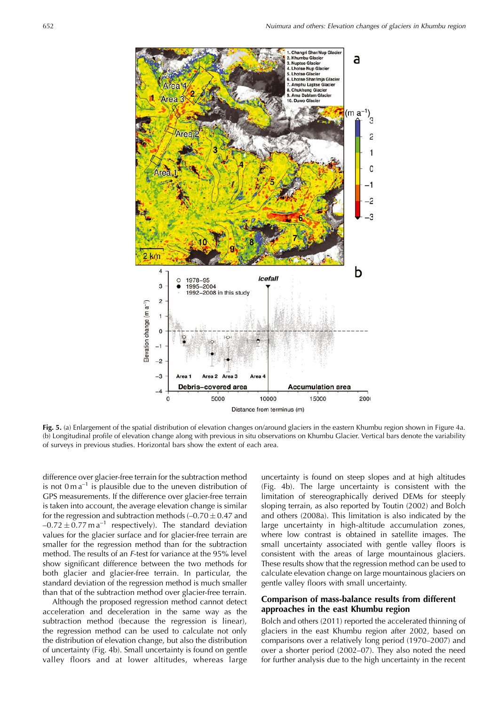

**Fig. 5.** (a) Enlargement of the spatial distribution of elevation changes on/around glaciers in the eastern Khumbu region shown in Figure 4a. (b) Longitudinal profile of elevation change along with previous in situ observations on Khumbu Glacier. Vertical bars denote the variability of surveys in previous studies. Horizontal bars show the extent of each area.

difference over glacier-free terrain for the subtraction method is not  $0 \text{ m a}^{-1}$  is plausible due to the uneven distribution of GPS measurements. If the difference over glacier-free terrain is taken into account, the average elevation change is similar for the regression and subtraction methods (–0.70  $\pm$  0.47 and  $-0.72 \pm 0.77$  m a<sup>-1</sup> respectively). The standard deviation values for the glacier surface and for glacier-free terrain are smaller for the regression method than for the subtraction method. The results of an F-test for variance at the 95% level show significant difference between the two methods for both glacier and glacier-free terrain. In particular, the standard deviation of the regression method is much smaller than that of the subtraction method over glacier-free terrain.

Although the proposed regression method cannot detect acceleration and deceleration in the same way as the subtraction method (because the regression is linear), the regression method can be used to calculate not only the distribution of elevation change, but also the distribution of uncertainty (Fig. 4b). Small uncertainty is found on gentle valley floors and at lower altitudes, whereas large

uncertainty is found on steep slopes and at high altitudes (Fig. 4b). The large uncertainty is consistent with the limitation of stereographically derived DEMs for steeply sloping terrain, as also reported by Toutin (2002) and Bolch and others (2008a). This limitation is also indicated by the large uncertainty in high-altitude accumulation zones, where low contrast is obtained in satellite images. The small uncertainty associated with gentle valley floors is consistent with the areas of large mountainous glaciers. These results show that the regression method can be used to calculate elevation change on large mountainous glaciers on gentle valley floors with small uncertainty.

## **Comparison of mass-balance results from different approaches in the east Khumbu region**

Bolch and others (2011) reported the accelerated thinning of glaciers in the east Khumbu region after 2002, based on comparisons over a relatively long period (1970–2007) and over a shorter period (2002–07). They also noted the need for further analysis due to the high uncertainty in the recent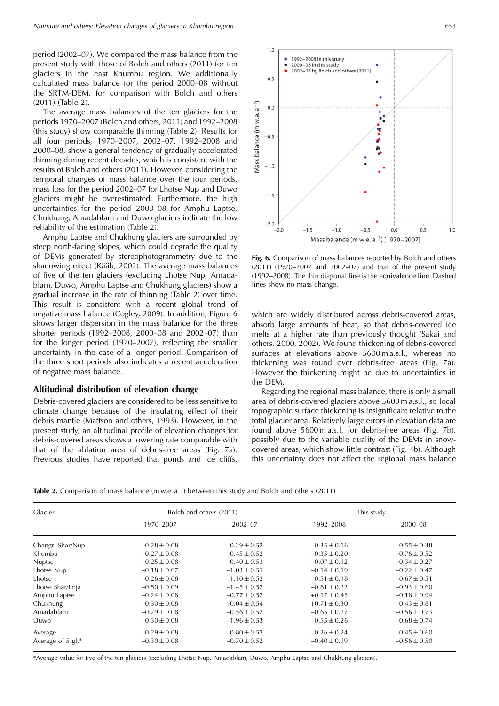period (2002–07). We compared the mass balance from the present study with those of Bolch and others (2011) for ten glaciers in the east Khumbu region. We additionally calculated mass balance for the period 2000–08 without the SRTM-DEM, for comparison with Bolch and others (2011) (Table 2).

The average mass balances of the ten glaciers for the periods 1970–2007 (Bolch and others, 2011) and 1992–2008 (this study) show comparable thinning (Table 2). Results for all four periods, 1970–2007, 2002–07, 1992–2008 and 2000–08, show a general tendency of gradually accelerated thinning during recent decades, which is consistent with the results of Bolch and others (2011). However, considering the temporal changes of mass balance over the four periods, mass loss for the period 2002–07 for Lhotse Nup and Duwo glaciers might be overestimated. Furthermore, the high uncertainties for the period 2000–08 for Amphu Laptse, Chukhung, Amadablam and Duwo glaciers indicate the low reliability of the estimation (Table 2).

Amphu Laptse and Chukhung glaciers are surrounded by steep north-facing slopes, which could degrade the quality of DEMs generated by stereophotogrammetry due to the shadowing effect (Kääb, 2002). The average mass balances of five of the ten glaciers (excluding Lhotse Nup, Amadablam, Duwo, Amphu Laptse and Chukhung glaciers) show a gradual increase in the rate of thinning (Table 2) over time. This result is consistent with a recent global trend of negative mass balance (Cogley, 2009). In addition, Figure 6 shows larger dispersion in the mass balance for the three shorter periods (1992–2008, 2000–08 and 2002–07) than for the longer period (1970–2007), reflecting the smaller uncertainty in the case of a longer period. Comparison of the three short periods also indicates a recent acceleration of negative mass balance.

## **Altitudinal distribution of elevation change**

Debris-covered glaciers are considered to be less sensitive to climate change because of the insulating effect of their debris mantle (Mattson and others, 1993). However, in the present study, an altitudinal profile of elevation changes for debris-covered areas shows a lowering rate comparable with that of the ablation area of debris-free areas (Fig. 7a). Previous studies have reported that ponds and ice cliffs,



**Fig. 6.** Comparison of mass balances reported by Bolch and others (2011) (1970–2007 and 2002–07) and that of the present study (1992–2008). The thin diagonal line is the equivalence line. Dashed lines show no mass change.

which are widely distributed across debris-covered areas, absorb large amounts of heat, so that debris-covered ice melts at a higher rate than previously thought (Sakai and others, 2000, 2002). We found thickening of debris-covered surfaces at elevations above 5600 m a.s.l., whereas no thickening was found over debris-free areas (Fig. 7a). However the thickening might be due to uncertainties in the DEM.

Regarding the regional mass balance, there is only a small area of debris-covered glaciers above 5600 m a.s.l., so local topographic surface thickening is insignificant relative to the total glacier area. Relatively large errors in elevation data are found above 5600 m a.s.l. for debris-free areas (Fig. 7b), possibly due to the variable quality of the DEMs in snowcovered areas, which show little contrast (Fig. 4b). Although this uncertainty does not affect the regional mass balance

**Table 2.** Comparison of mass balance (m w.e.  $a^{-1}$ ) between this study and Bolch and others (2011)

|                  |                  | This study              |                  |  |
|------------------|------------------|-------------------------|------------------|--|
| 1970-2007        | $2002 - 07$      | 1992-2008               | 2000-08          |  |
| $-0.28 \pm 0.08$ | $-0.29 \pm 0.52$ | $-0.35 \pm 0.16$        | $-0.55 \pm 0.38$ |  |
| $-0.27 \pm 0.08$ | $-0.45 \pm 0.52$ | $-0.35 \pm 0.20$        | $-0.76 \pm 0.52$ |  |
| $-0.25 \pm 0.08$ | $-0.40 \pm 0.53$ | $-0.07 \pm 0.12$        | $-0.34 \pm 0.27$ |  |
| $-0.18 \pm 0.07$ | $-1.03 \pm 0.51$ | $-0.14 \pm 0.19$        | $-0.22 \pm 0.47$ |  |
| $-0.26 \pm 0.08$ | $-1.10 \pm 0.52$ | $-0.51 \pm 0.18$        | $-0.67 \pm 0.51$ |  |
| $-0.50 \pm 0.09$ | $-1.45 \pm 0.52$ | $-0.81 \pm 0.22$        | $-0.93 \pm 0.60$ |  |
| $-0.24 \pm 0.08$ | $-0.77 \pm 0.52$ | $+0.17 \pm 0.45$        | $-0.18 \pm 0.94$ |  |
| $-0.30 \pm 0.08$ | $+0.04 \pm 0.54$ | $+0.71 \pm 0.30$        | $+0.43 \pm 0.81$ |  |
| $-0.29 \pm 0.08$ | $-0.56 \pm 0.52$ | $-0.65 \pm 0.27$        | $-0.56 \pm 0.73$ |  |
| $-0.30 \pm 0.08$ | $-1.96 \pm 0.53$ | $-0.55 \pm 0.26$        | $-0.68 \pm 0.74$ |  |
| $-0.29 \pm 0.08$ | $-0.80 \pm 0.52$ | $-0.26 \pm 0.24$        | $-0.45 \pm 0.60$ |  |
| $-0.30 \pm 0.08$ | $-0.70 \pm 0.52$ | $-0.40 \pm 0.19$        | $-0.56 \pm 0.50$ |  |
|                  |                  | Bolch and others (2011) |                  |  |

\*Average value for five of the ten glaciers (excluding Lhotse Nup, Amadablam, Duwo, Amphu Laptse and Chukhung glaciers).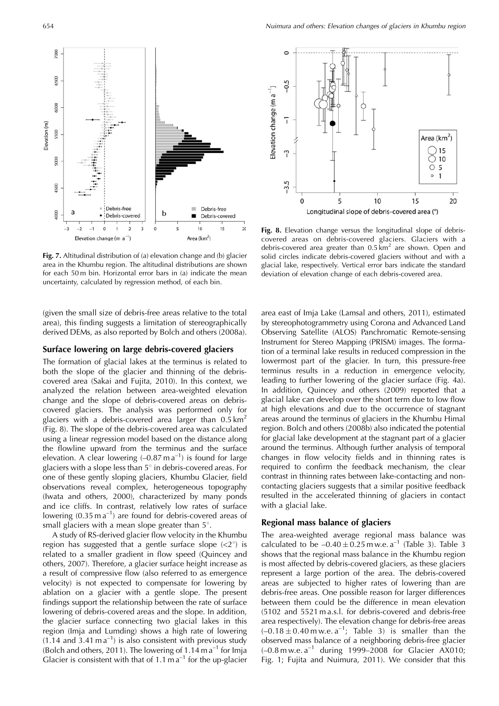

**Fig. 7.** Altitudinal distribution of (a) elevation change and (b) glacier area in the Khumbu region. The altitudinal distributions are shown for each 50 m bin. Horizontal error bars in (a) indicate the mean uncertainty, calculated by regression method, of each bin.

(given the small size of debris-free areas relative to the total area), this finding suggests a limitation of stereographically derived DEMs, as also reported by Bolch and others (2008a).

#### **Surface lowering on large debris-covered glaciers**

The formation of glacial lakes at the terminus is related to both the slope of the glacier and thinning of the debriscovered area (Sakai and Fujita, 2010). In this context, we analyzed the relation between area-weighted elevation change and the slope of debris-covered areas on debriscovered glaciers. The analysis was performed only for glaciers with a debris-covered area larger than  $0.5 \text{ km}^2$ (Fig. 8). The slope of the debris-covered area was calculated using a linear regression model based on the distance along the flowline upward from the terminus and the surface elevation. A clear lowering  $(-0.87 \text{ m a}^{-1})$  is found for large glaciers with a slope less than  $5^\circ$  in debris-covered areas. For one of these gently sloping glaciers, Khumbu Glacier, field observations reveal complex, heterogeneous topography (Iwata and others, 2000), characterized by many ponds and ice cliffs. In contrast, relatively low rates of surface lowering  $(0.35 \text{ m a}^{-1})$  are found for debris-covered areas of small glaciers with a mean slope greater than  $5^\circ$ .

A study of RS-derived glacier flow velocity in the Khumbu region has suggested that a gentle surface slope  $\langle 2^{\circ} \rangle$  is related to a smaller gradient in flow speed (Quincey and others, 2007). Therefore, a glacier surface height increase as a result of compressive flow (also referred to as emergence velocity) is not expected to compensate for lowering by ablation on a glacier with a gentle slope. The present findings support the relationship between the rate of surface lowering of debris-covered areas and the slope. In addition, the glacier surface connecting two glacial lakes in this region (Imja and Lumding) shows a high rate of lowering  $(1.14$  and  $3.41$  m a<sup>-1</sup>) is also consistent with previous study (Bolch and others, 2011). The lowering of 1.14 m  $a^{-1}$  for Imja Glacier is consistent with that of 1.1  $\text{m} \text{a}^{-1}$  for the up-glacier



**Fig. 8.** Elevation change versus the longitudinal slope of debriscovered areas on debris-covered glaciers. Glaciers with a debris-covered area greater than  $0.5 \text{ km}^2$  are shown. Open and solid circles indicate debris-covered glaciers without and with a glacial lake, respectively. Vertical error bars indicate the standard deviation of elevation change of each debris-covered area.

area east of Imja Lake (Lamsal and others, 2011), estimated by stereophotogrammetry using Corona and Advanced Land Observing Satellite (ALOS) Panchromatic Remote-sensing Instrument for Stereo Mapping (PRISM) images. The formation of a terminal lake results in reduced compression in the lowermost part of the glacier. In turn, this pressure-free terminus results in a reduction in emergence velocity, leading to further lowering of the glacier surface (Fig. 4a). In addition, Quincey and others (2009) reported that a glacial lake can develop over the short term due to low flow at high elevations and due to the occurrence of stagnant areas around the terminus of glaciers in the Khumbu Himal region. Bolch and others (2008b) also indicated the potential for glacial lake development at the stagnant part of a glacier around the terminus. Although further analysis of temporal changes in flow velocity fields and in thinning rates is required to confirm the feedback mechanism, the clear contrast in thinning rates between lake-contacting and noncontacting glaciers suggests that a similar positive feedback resulted in the accelerated thinning of glaciers in contact with a glacial lake.

# **Regional mass balance of glaciers**

The area-weighted average regional mass balance was calculated to be  $-0.40 \pm 0.25$  m w.e. a<sup>-1</sup> (Table 3). Table 3 shows that the regional mass balance in the Khumbu region is most affected by debris-covered glaciers, as these glaciers represent a large portion of the area. The debris-covered areas are subjected to higher rates of lowering than are debris-free areas. One possible reason for larger differences between them could be the difference in mean elevation (5102 and 5521 m a.s.l. for debris-covered and debris-free area respectively). The elevation change for debris-free areas  $(-0.18 \pm 0.40 \text{ m} \text{ w} \cdot \text{e} \cdot \text{a}^{-1})$ ; Table 3) is smaller than the observed mass balance of a neighboring debris-free glacier  $(-0.8 \text{ m} \text{ w} \cdot \text{e} \cdot \text{a}^{-1})$  during 1999–2008 for Glacier AX010; Fig. 1; Fujita and Nuimura, 2011). We consider that this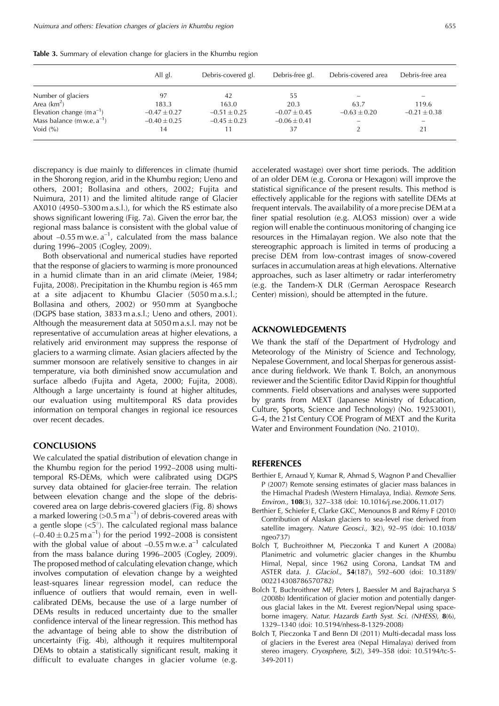|                                 | All gl.          | Debris-covered gl. | Debris-free gl.  | Debris-covered area      | Debris-free area |
|---------------------------------|------------------|--------------------|------------------|--------------------------|------------------|
| Number of glaciers              | 97               | 42                 | 55.              | $\overline{\phantom{a}}$ |                  |
| Area $(km^2)$                   | 183.3            | 163.0              | 20.3             | 63.7                     | 119.6            |
| Elevation change $(m a^{-1})$   | $-0.47 \pm 0.27$ | $-0.51 \pm 0.25$   | $-0.07 \pm 0.45$ | $-0.63 \pm 0.20$         | $-0.21 \pm 0.38$ |
| Mass balance (m w.e. $a^{-1}$ ) | $-0.40 \pm 0.25$ | $-0.45 \pm 0.23$   | $-0.06 \pm 0.41$ | $\overline{\phantom{a}}$ |                  |
| Void $(\% )$                    | 14               | 11                 | 37               |                          |                  |

**Table 3.** Summary of elevation change for glaciers in the Khumbu region

discrepancy is due mainly to differences in climate (humid in the Shorong region, arid in the Khumbu region; Ueno and others, 2001; Bollasina and others, 2002; Fujita and Nuimura, 2011) and the limited altitude range of Glacier AX010 (4950–5300 m a.s.l.), for which the RS estimate also shows significant lowering (Fig. 7a). Given the error bar, the regional mass balance is consistent with the global value of about  $-0.55$  m w.e.  $a^{-1}$ , calculated from the mass balance during 1996–2005 (Cogley, 2009).

Both observational and numerical studies have reported that the response of glaciers to warming is more pronounced in a humid climate than in an arid climate (Meier, 1984; Fujita, 2008). Precipitation in the Khumbu region is 465 mm at a site adjacent to Khumbu Glacier (5050 m a.s.l.; Bollasina and others, 2002) or 950 mm at Syangboche (DGPS base station, 3833 m a.s.l.; Ueno and others, 2001). Although the measurement data at 5050 m a.s.l. may not be representative of accumulation areas at higher elevations, a relatively arid environment may suppress the response of glaciers to a warming climate. Asian glaciers affected by the summer monsoon are relatively sensitive to changes in air temperature, via both diminished snow accumulation and surface albedo (Fujita and Ageta, 2000; Fujita, 2008). Although a large uncertainty is found at higher altitudes, our evaluation using multitemporal RS data provides information on temporal changes in regional ice resources over recent decades.

## **CONCLUSIONS**

We calculated the spatial distribution of elevation change in the Khumbu region for the period 1992–2008 using multitemporal RS-DEMs, which were calibrated using DGPS survey data obtained for glacier-free terrain. The relation between elevation change and the slope of the debriscovered area on large debris-covered glaciers (Fig. 8) shows a marked lowering  $(>0.5 \text{ m a}^{-1})$  of debris-covered areas with a gentle slope  $\langle \langle 5^\circ \rangle$ . The calculated regional mass balance  $(-0.40 \pm 0.25 \text{ m a}^{-1})$  for the period 1992–2008 is consistent with the global value of about  $-0.55$  m w.e.  $a^{-1}$  calculated from the mass balance during 1996–2005 (Cogley, 2009). The proposed method of calculating elevation change, which involves computation of elevation change by a weighted least-squares linear regression model, can reduce the influence of outliers that would remain, even in wellcalibrated DEMs, because the use of a large number of DEMs results in reduced uncertainty due to the smaller confidence interval of the linear regression. This method has the advantage of being able to show the distribution of uncertainty (Fig. 4b), although it requires multitemporal DEMs to obtain a statistically significant result, making it difficult to evaluate changes in glacier volume (e.g.

accelerated wastage) over short time periods. The addition of an older DEM (e.g. Corona or Hexagon) will improve the statistical significance of the present results. This method is effectively applicable for the regions with satellite DEMs at frequent intervals. The availability of a more precise DEM at a finer spatial resolution (e.g. ALOS3 mission) over a wide region will enable the continuous monitoring of changing ice resources in the Himalayan region. We also note that the stereographic approach is limited in terms of producing a precise DEM from low-contrast images of snow-covered surfaces in accumulation areas at high elevations. Alternative approaches, such as laser altimetry or radar interferometry (e.g. the Tandem-X DLR (German Aerospace Research Center) mission), should be attempted in the future.

## **ACKNOWLEDGEMENTS**

We thank the staff of the Department of Hydrology and Meteorology of the Ministry of Science and Technology, Nepalese Government, and local Sherpas for generous assistance during fieldwork. We thank T. Bolch, an anonymous reviewer and the Scientific Editor David Rippin for thoughtful comments. Field observations and analyses were supported by grants from MEXT (Japanese Ministry of Education, Culture, Sports, Science and Technology) (No. 19253001), G-4, the 21st Century COE Program of MEXT and the Kurita Water and Environment Foundation (No. 21010).

## **REFERENCES**

- Berthier E, Arnaud Y, Kumar R, Ahmad S, Wagnon P and Chevallier P (2007) Remote sensing estimates of glacier mass balances in the Himachal Pradesh (Western Himalaya, India). Remote Sens. Environ., **108**(3), 327–338 (doi: 10.1016/j.rse.2006.11.017)
- Berthier E, Schiefer E, Clarke GKC, Menounos B and Rémy F (2010) Contribution of Alaskan glaciers to sea-level rise derived from satellite imagery. Nature Geosci., **3**(2), 92–95 (doi: 10.1038/ ngeo737)
- Bolch T, Buchroithner M, Pieczonka T and Kunert A (2008a) Planimetric and volumetric glacier changes in the Khumbu Himal, Nepal, since 1962 using Corona, Landsat TM and ASTER data. J. Glaciol., **54**(187), 592–600 (doi: 10.3189/ 002214308786570782)
- Bolch T, Buchroithner MF, Peters J, Baessler M and Bajracharya S (2008b) Identification of glacier motion and potentially dangerous glacial lakes in the Mt. Everest region/Nepal using spaceborne imagery. Natur. Hazards Earth Syst. Sci. (NHESS), **8**(6), 1329–1340 (doi: 10.5194/nhess-8-1329-2008)
- Bolch T, Pieczonka T and Benn DI (2011) Multi-decadal mass loss of glaciers in the Everest area (Nepal Himalaya) derived from stereo imagery. Cryosphere, **5**(2), 349–358 (doi: 10.5194/tc-5- 349-2011)